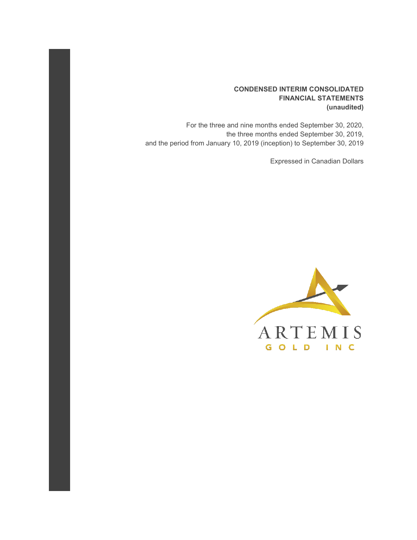## **CONDENSED INTERIM CONSOLIDATED FINANCIAL STATEMENTS (unaudited)**

For the three and nine months ended September 30, 2020, the three months ended September 30, 2019, and the period from January 10, 2019 (inception) to September 30, 2019

Expressed in Canadian Dollars

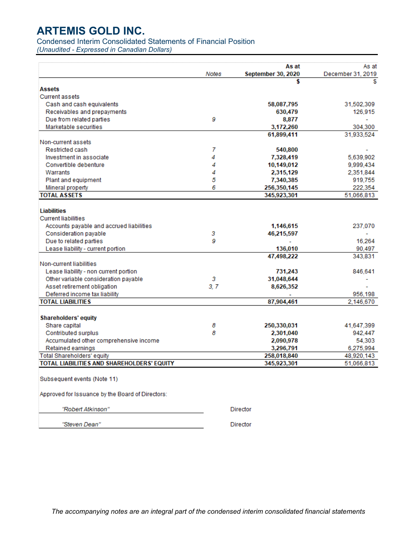## Condensed Interim Consolidated Statements of Financial Position

*(Unaudited - Expressed in Canadian Dollars)*

|                                                  |       | As at<br><b>September 30, 2020</b> | As at                  |
|--------------------------------------------------|-------|------------------------------------|------------------------|
|                                                  | Notes | \$                                 | December 31, 2019<br>S |
| <b>Assets</b>                                    |       |                                    |                        |
| <b>Current assets</b>                            |       |                                    |                        |
| Cash and cash equivalents                        |       | 58,087,795                         | 31,502,309             |
| Receivables and prepayments                      |       | 630,479                            | 126,915                |
| Due from related parties                         | 9     | 8,877                              |                        |
| Marketable securities                            |       | 3,172,260                          | 304,300                |
|                                                  |       | 61,899,411                         | 31,933,524             |
| Non-current assets                               |       |                                    |                        |
| Restricted cash                                  | 7     | 540,800                            |                        |
| Investment in associate                          | 4     | 7,328,419                          | 5,639,902              |
| Convertible debenture                            | 4     | 10,149,012                         | 9,999,434              |
| Warrants                                         | 4     | 2,315,129                          | 2,351,844              |
| Plant and equipment                              | 5     | 7,340,385                          | 919,755                |
| Mineral property                                 | 6     | 256,350,145                        | 222,354                |
| <b>TOTAL ASSETS</b>                              |       | 345,923,301                        | 51,066,813             |
|                                                  |       |                                    |                        |
| <b>Liabilities</b>                               |       |                                    |                        |
| <b>Current liabilities</b>                       |       |                                    |                        |
| Accounts payable and accrued liabilities         |       | 1,146,615                          | 237,070                |
| Consideration payable                            | з     | 46,215,597                         |                        |
| Due to related parties                           | 9     |                                    | 16,264                 |
| Lease liability - current portion                |       | 136,010                            | 90,497                 |
|                                                  |       | 47,498,222                         | 343,831                |
| Non-current liabilities                          |       |                                    |                        |
| Lease liability - non current portion            |       | 731,243                            | 846,641                |
| Other variable consideration payable             | 3     | 31,048,644                         |                        |
| Asset retirement obligation                      | 3, 7  | 8,626,352                          |                        |
| Deferred income tax liability                    |       |                                    | 956,198                |
| <b>TOTAL LIABILITIES</b>                         |       | 87,904,461                         | 2,146,670              |
|                                                  |       |                                    |                        |
| <b>Shareholders' equity</b>                      |       |                                    |                        |
| Share capital                                    | 8     | 250,330,031                        | 41,647,399             |
| Contributed surplus                              | 8     | 2,301,040                          | 942,447                |
| Accumulated other comprehensive income           |       | 2,090,978                          | 54,303                 |
| Retained earnings                                |       | 3,296,791                          | 6,275,994              |
| <b>Total Shareholders' equity</b>                |       | 258,018,840                        | 48,920,143             |
| TOTAL LIABILITIES AND SHAREHOLDERS' EQUITY       |       | 345,923,301                        | 51,066,813             |
|                                                  |       |                                    |                        |
| Subsequent events (Note 11)                      |       |                                    |                        |
| Approved for Issuance by the Board of Directors: |       |                                    |                        |
| "Robert Atkinson"                                |       | Director                           |                        |
| "Steven Dean"                                    |       | Director                           |                        |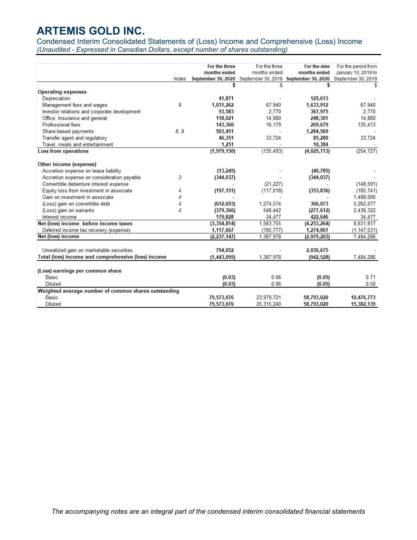Condensed Interim Consolidated Statements of (Loss) Income and Comprehensive (Loss) Income *(Unaudited - Expressed in Canadian Dollars, except number of shares outstanding)*

|                                                      |       | For the three | For the three | For the nine                                                                | For the period from |
|------------------------------------------------------|-------|---------------|---------------|-----------------------------------------------------------------------------|---------------------|
|                                                      |       | months ended  | months ended  | months ended                                                                | January 10, 2019 to |
|                                                      | Notes |               |               | September 30, 2020 September 30, 2019 September 30, 2020 September 30, 2019 |                     |
|                                                      |       |               | S             |                                                                             |                     |
| <b>Operating expenses</b>                            |       |               |               |                                                                             |                     |
| Depreciation                                         |       | 41,871        |               | 125,613                                                                     |                     |
| Management fees and wages                            | 9     | 1,031,262     | 67,940        | 1,633,912                                                                   | 67,940              |
| Investor relations and corporate development         |       | 93,583        | 2.770         | 367,975                                                                     | 2,770               |
| Office, Insurance and general                        |       | 118,021       | 14,880        | 248,301                                                                     | 14,880              |
| <b>Professional fees</b>                             |       | 143,360       | 16.179        | 269,679                                                                     | 135,413             |
| Share-based payments                                 | 8.9   | 503,451       |               | 1,284,569                                                                   |                     |
| Transfer agent and regulatory                        |       | 46,351        | 33,724        | 85,280                                                                      | 33,724              |
| Travel, meals and entertainment                      |       | 1,251         |               | 10.384                                                                      |                     |
| <b>Loss from operations</b>                          |       | (1,979,150)   | (135, 493)    | (4,025,713)                                                                 | (254, 727)          |
| Other income (expense)                               |       |               |               |                                                                             |                     |
| Accretion expense on lease liability                 |       | (13,245)      |               | (40, 785)                                                                   |                     |
| Accretion expense on consideration payable           | 3     | (344, 037)    |               | (344, 037)                                                                  |                     |
| Convertible debenture interest expense               |       |               | (21, 227)     |                                                                             | (148, 591)          |
| Equity loss from investment in associate             | 4     | (197, 151)    | (117.018)     | (353, 836)                                                                  | (185.741)           |
| Gain on investment in associate                      |       |               |               |                                                                             | 1,488,000           |
| (Loss) gain on convertible debt                      |       | (612, 693)    | 1,274,574     | 366,073                                                                     | 5,262,077           |
| (Loss) gain on warrants                              | 4     | (379, 366)    | 548,442       | (277, 612)                                                                  | 2,436,322           |
| Interest income                                      |       | 170,828       | 34,477        | 422,646                                                                     | 34,477              |
| Net (loss) income before income taxes                |       | (3,354,814)   | 1,583,755     | (4,253,264)                                                                 | 8,631,817           |
| Deferred income tax recovery (expense)               |       | 1,117,667     | (195, 777)    | 1,274,061                                                                   | (1, 147, 531)       |
| Net (loss) income                                    |       | (2, 237, 147) | 1,387,978     | (2,979,203)                                                                 | 7,484,286           |
| Unrealized gain on marketable securities             |       | 794,052       |               | 2,036,675                                                                   |                     |
| Total (loss) income and comprehensive (loss) income  |       | (1,443,095)   | 1,387,978     | (942, 528)                                                                  | 7,484,286           |
|                                                      |       |               |               |                                                                             |                     |
| (Loss) earnings per common share                     |       |               |               |                                                                             |                     |
| <b>Basic</b>                                         |       | (0.03)        | 0.06          | (0.05)                                                                      | 0.71                |
| <b>Diluted</b>                                       |       | (0.03)        | 0.06          | (0.05)                                                                      | 0.50                |
| Weighted average number of common shares outstanding |       |               |               |                                                                             |                     |
| <b>Basic</b>                                         |       | 79,573,076    | 23,979,721    | 58,793,020                                                                  | 10,476,773          |
| <b>Diluted</b>                                       |       | 79,573,076    | 25.315.240    | 58.793.020                                                                  | 15,382,139          |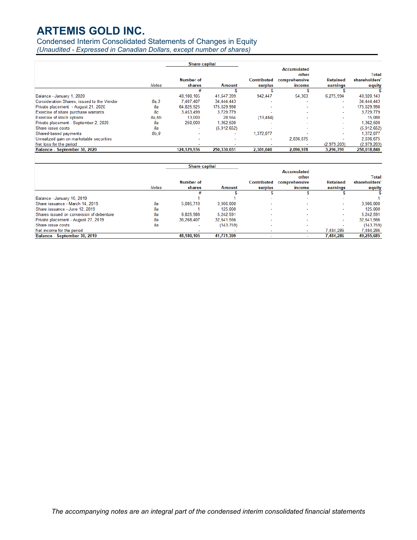Condensed Interim Consolidated Statements of Changes in Equity

*(Unaudited - Expressed in Canadian Dollars, except number of shares)*

|                                            |        | <b>Share capital</b>       |                          |                          |                             |                             |                         |
|--------------------------------------------|--------|----------------------------|--------------------------|--------------------------|-----------------------------|-----------------------------|-------------------------|
|                                            |        |                            |                          |                          | <b>Accumulated</b><br>other |                             | Total                   |
|                                            | Notes  | <b>Number of</b><br>shares | Amount                   | Contributed<br>surplus   | comprehensive<br>income     | <b>Retained</b><br>earnings | shareholders'<br>equity |
|                                            |        | #                          |                          |                          |                             |                             |                         |
| Balance - January 1, 2020                  |        | 48,180,105                 | 41.647.399               | 942.447                  | 54,303                      | 6,275,994                   | 48,920,143              |
| Consideration Shares, issued to the Vendor | 8a.3   | 7.407.407                  | 34,444,443               | $\sim$                   |                             |                             | 34,444,443              |
| Private placement - August 21, 2020        | 8a     | 64,825,925                 | 175,029,998              | ۰                        | ۰                           | ×.                          | 175,029,998             |
| Exercise of share purchase warrants        | 8с     | 3,453,499                  | 3,729,779                |                          |                             | ٠                           | 3.729.779               |
| <b>Exercise of stock options</b>           | 8a, 8b | 13.000                     | 28.564                   | (13, 484)                | $\overline{\phantom{a}}$    | ۰                           | 15.080                  |
| Private placement - September 2, 2020      | 8а     | 250,000                    | 1.362.500                | -                        | -                           | ٠                           | 1.362.500               |
| Share issue costs                          | 8а     | ۰                          | (5,912,652)              | $\overline{\phantom{a}}$ | $\overline{\phantom{a}}$    | ۰.                          | (5,912,652)             |
| Shared-based payments                      | 8b.9   | $\overline{\phantom{a}}$   | $\overline{\phantom{a}}$ | 1.372.077                |                             | ۰                           | 1.372.077               |
| Unrealized gain on marketable securities   |        | ۰                          | $\overline{\phantom{a}}$ | $\overline{\phantom{a}}$ | 2.036.675                   | ۰                           | 2.036.675               |
| Net loss for the period                    |        | $\overline{\phantom{a}}$   |                          |                          |                             | (2.979.203)                 | (2.979.203)             |
| Balance - September 30, 2020               |        | 124,129,936                | 250,330,031              | 2,301,040                | 2,090,978                   | 3,296,791                   | 258,018,840             |

|                                          |              | <b>Share capital</b>       |               |                               |                             |                             |                         |
|------------------------------------------|--------------|----------------------------|---------------|-------------------------------|-----------------------------|-----------------------------|-------------------------|
|                                          |              |                            |               |                               | <b>Accumulated</b><br>other |                             | Total                   |
|                                          | <b>Notes</b> | <b>Number of</b><br>shares | <b>Amount</b> | <b>Contributed</b><br>surplus | comprehensive<br>income     | <b>Retained</b><br>earnings | shareholders'<br>equity |
|                                          |              |                            |               |                               |                             |                             |                         |
| Balance - January 10, 2019               |              |                            |               | $\sim$                        | $\overline{\phantom{0}}$    | $\overline{\phantom{0}}$    |                         |
| Share issuance - March 14, 2019          | 8а           | 5.085.710                  | 3,906,000     |                               |                             | $\overline{\phantom{a}}$    | 3,906,000               |
| Share issuance - June 12, 2019           | 8а           |                            | 125.000       |                               | $\sim$                      |                             | 125.000                 |
| Shares issued on conversion of debenture | 8a           | 6.825.986                  | 5.242.591     |                               | $\sim$                      | $\sim$                      | 5.242,591               |
| Private placement - August 27, 2019      | 8а           | 36.268.407                 | 32.641.566    | $\overline{\phantom{a}}$      | $\overline{\phantom{a}}$    | $\overline{\phantom{a}}$    | 32.641.566              |
| Share issue costs                        | 8a           | $\overline{\phantom{a}}$   | (143, 759)    | $\overline{\phantom{a}}$      | ۰                           |                             | (143, 759)              |
| Net income for the period                |              |                            |               |                               | ۰                           | 7.484.286                   | 7.484.286               |
| Balance - September 30, 2019             |              | 48.180.105                 | 41,771,399    |                               |                             | 7.484.286                   | 49,255,685              |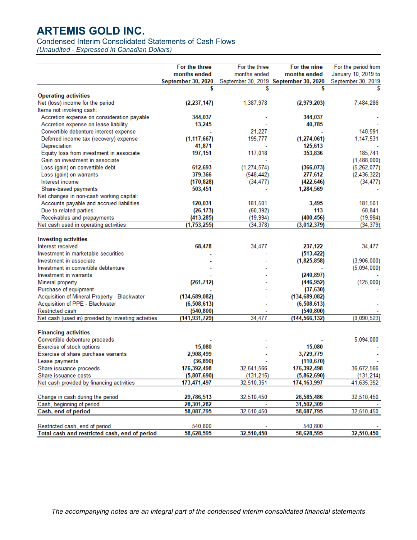Condensed Interim Consolidated Statements of Cash Flows

*(Unaudited - Expressed in Canadian Dollars)*

|                                                                                 | For the three                 | For the three | For the nine                          | For the period from |
|---------------------------------------------------------------------------------|-------------------------------|---------------|---------------------------------------|---------------------|
|                                                                                 | months ended                  | months ended  | months ended                          | January 10, 2019 to |
|                                                                                 | September 30, 2020            |               | September 30, 2019 September 30, 2020 | September 30, 2019  |
|                                                                                 |                               |               |                                       |                     |
| <b>Operating activities</b>                                                     |                               |               |                                       |                     |
| Net (loss) income for the period                                                | (2.237, 147)                  | 1,387,978     | (2,979,203)                           | 7,484,286           |
| Items not involving cash:                                                       |                               |               |                                       |                     |
| Accretion expense on consideration payable                                      | 344,037                       |               | 344,037                               |                     |
| Accretion expense on lease liability                                            | 13,245                        |               | 40,785                                |                     |
| Convertible debenture interest expense                                          |                               | 21,227        |                                       | 148,591             |
| Deferred income tax (recovery) expense                                          | (1, 117, 667)                 | 195,777       | (1,274,061)                           | 1,147,531           |
| Depreciation                                                                    | 41,871                        |               | 125,613                               |                     |
| Equity loss from investment in associate                                        | 197,151                       | 117.018       | 353,836                               | 185,741             |
| Gain on investment in associate                                                 |                               |               |                                       | (1,488,000)         |
| Loss (gain) on convertible debt                                                 | 612,693                       | (1, 274, 574) | (366, 073)                            | (5,262,077)         |
| Loss (gain) on warrants                                                         | 379,366                       | (548, 442)    | 277,612                               | (2, 436, 322)       |
| Interest income                                                                 | (170, 828)                    | (34, 477)     | (422, 646)                            | (34, 477)           |
| Share-based payments                                                            | 503,451                       |               | 1,284,569                             |                     |
| Net changes in non-cash working capital:                                        |                               |               |                                       |                     |
| Accounts payable and accrued liabilities                                        | 120,031                       | 181,501       | 3,495                                 | 181,501             |
| Due to related parties                                                          | (26, 173)                     | (60, 392)     | 113                                   | 58,841              |
| Receivables and prepayments                                                     | (413, 285)                    | (19, 994)     | (400, 456)                            | (19, 994)           |
| Net cash used in operating activities                                           | (1,753,255)                   | (34, 378)     | (3,012,379)                           | (34, 379)           |
|                                                                                 |                               |               |                                       |                     |
| <b>Investing activities</b><br>Interest received                                | 68,478                        | 34,477        | 237,122                               |                     |
| Investment in marketable securities                                             |                               |               |                                       | 34,477              |
| Investment in associate                                                         |                               |               | (513, 422)                            |                     |
| Investment in convertible debtenture                                            |                               |               | (1,825,858)                           | (3,906,000)         |
| Investment in warrants                                                          |                               |               |                                       | (5,094,000)         |
|                                                                                 |                               |               | (240, 897)                            |                     |
| Mineral property                                                                | (261, 712)                    |               | (446, 952)                            | (125,000)           |
| Purchase of equipment                                                           |                               |               | (37,630)                              |                     |
| Acquisition of Mineral Property - Blackwater<br>Acquisition of PPE - Blackwater | (134, 689, 082)               |               | (134, 689, 082)                       |                     |
| <b>Restricted cash</b>                                                          | (6, 508, 613)                 |               | (6, 508, 613)<br>(540, 800)           |                     |
| Net cash (used in) provided by investing activities                             | (540, 800)<br>(141, 931, 729) | 34,477        | (144, 566, 132)                       | (9,090,523)         |
|                                                                                 |                               |               |                                       |                     |
| <b>Financing activities</b>                                                     |                               |               |                                       |                     |
| Convertible debenture proceeds                                                  |                               |               |                                       | 5,094,000           |
| Exercise of stock options                                                       | 15,080                        |               | 15,080                                |                     |
| Exercise of share purchase warrants                                             | 2,908,499                     |               | 3,729,779                             |                     |
| Lease payments                                                                  | (36, 890)                     |               | (110, 670)                            |                     |
| Share issuance proceeds                                                         | 176,392,498                   | 32,641,566    | 176,392,498                           | 36,672,566          |
| Share issuance costs                                                            | (5,807,690)                   | (131, 215)    | (5,862,690)                           | (131, 214)          |
| Net cash provided by financing activities                                       | 173,471,497                   | 32,510,351    | 174, 163, 997                         | 41,635,352          |
|                                                                                 |                               |               |                                       |                     |
| Change in cash during the period                                                | 29,786,513                    | 32,510,450    | 26,585,486                            | 32,510,450          |
| Cash, beginning of period                                                       | 28,301,282                    |               | 31,502,309                            |                     |
| Cash, end of period                                                             | 58,087,795                    | 32,510,450    | 58,087,795                            | 32,510,450          |
|                                                                                 |                               |               |                                       |                     |
| Restricted cash, end of period                                                  | 540,800                       |               | 540,800                               |                     |
| Total cash and restricted cash, end of period                                   | 58,628,595                    | 32,510,450    | 58,628,595                            | 32,510,450          |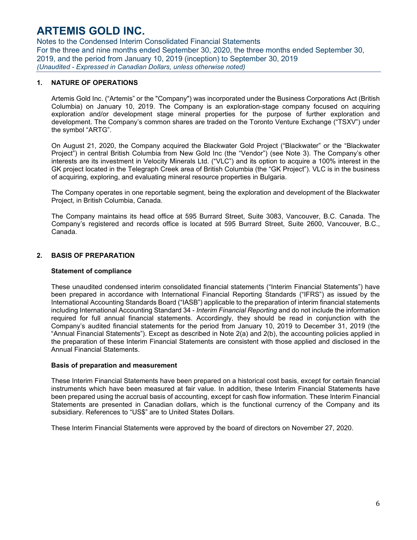Notes to the Condensed Interim Consolidated Financial Statements For the three and nine months ended September 30, 2020, the three months ended September 30, 2019, and the period from January 10, 2019 (inception) to September 30, 2019 *(Unaudited - Expressed in Canadian Dollars, unless otherwise noted)*

### **1. NATURE OF OPERATIONS**

Artemis Gold Inc. ("Artemis" or the "Company") was incorporated under the Business Corporations Act (British Columbia) on January 10, 2019. The Company is an exploration-stage company focused on acquiring exploration and/or development stage mineral properties for the purpose of further exploration and development. The Company's common shares are traded on the Toronto Venture Exchange ("TSXV") under the symbol "ARTG".

On August 21, 2020, the Company acquired the Blackwater Gold Project ("Blackwater" or the "Blackwater Project") in central British Columbia from New Gold Inc (the "Vendor") (see Note 3). The Company's other interests are its investment in Velocity Minerals Ltd. ("VLC") and its option to acquire a 100% interest in the GK project located in the Telegraph Creek area of British Columbia (the "GK Project"). VLC is in the business of acquiring, exploring, and evaluating mineral resource properties in Bulgaria.

The Company operates in one reportable segment, being the exploration and development of the Blackwater Project, in British Columbia, Canada.

The Company maintains its head office at 595 Burrard Street, Suite 3083, Vancouver, B.C. Canada. The Company's registered and records office is located at 595 Burrard Street, Suite 2600, Vancouver, B.C., Canada.

### **2. BASIS OF PREPARATION**

#### **Statement of compliance**

These unaudited condensed interim consolidated financial statements ("Interim Financial Statements") have been prepared in accordance with International Financial Reporting Standards ("IFRS") as issued by the International Accounting Standards Board ("IASB") applicable to the preparation of interim financial statements including International Accounting Standard 34 - *Interim Financial Reporting* and do not include the information required for full annual financial statements. Accordingly, they should be read in conjunction with the Company's audited financial statements for the period from January 10, 2019 to December 31, 2019 (the "Annual Financial Statements"). Except as described in Note 2(a) and 2(b), the accounting policies applied in the preparation of these Interim Financial Statements are consistent with those applied and disclosed in the Annual Financial Statements.

#### **Basis of preparation and measurement**

These Interim Financial Statements have been prepared on a historical cost basis, except for certain financial instruments which have been measured at fair value. In addition, these Interim Financial Statements have been prepared using the accrual basis of accounting, except for cash flow information. These Interim Financial Statements are presented in Canadian dollars, which is the functional currency of the Company and its subsidiary. References to "US\$" are to United States Dollars.

These Interim Financial Statements were approved by the board of directors on November 27, 2020.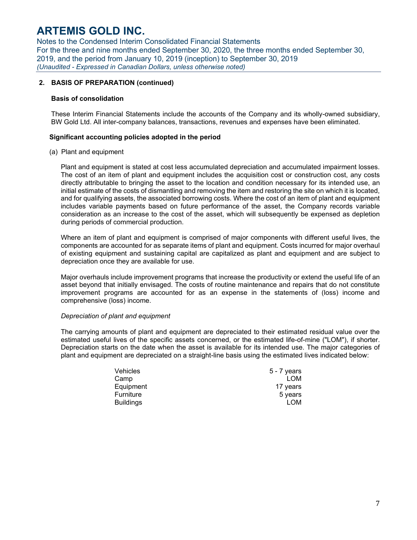Notes to the Condensed Interim Consolidated Financial Statements For the three and nine months ended September 30, 2020, the three months ended September 30, 2019, and the period from January 10, 2019 (inception) to September 30, 2019 *(Unaudited - Expressed in Canadian Dollars, unless otherwise noted)*

### **2. BASIS OF PREPARATION (continued)**

#### **Basis of consolidation**

These Interim Financial Statements include the accounts of the Company and its wholly-owned subsidiary, BW Gold Ltd. All inter-company balances, transactions, revenues and expenses have been eliminated.

#### **Significant accounting policies adopted in the period**

(a) Plant and equipment

Plant and equipment is stated at cost less accumulated depreciation and accumulated impairment losses. The cost of an item of plant and equipment includes the acquisition cost or construction cost, any costs directly attributable to bringing the asset to the location and condition necessary for its intended use, an initial estimate of the costs of dismantling and removing the item and restoring the site on which it is located, and for qualifying assets, the associated borrowing costs. Where the cost of an item of plant and equipment includes variable payments based on future performance of the asset, the Company records variable consideration as an increase to the cost of the asset, which will subsequently be expensed as depletion during periods of commercial production.

Where an item of plant and equipment is comprised of major components with different useful lives, the components are accounted for as separate items of plant and equipment. Costs incurred for major overhaul of existing equipment and sustaining capital are capitalized as plant and equipment and are subject to depreciation once they are available for use.

Major overhauls include improvement programs that increase the productivity or extend the useful life of an asset beyond that initially envisaged. The costs of routine maintenance and repairs that do not constitute improvement programs are accounted for as an expense in the statements of (loss) income and comprehensive (loss) income.

#### *Depreciation of plant and equipment*

The carrying amounts of plant and equipment are depreciated to their estimated residual value over the estimated useful lives of the specific assets concerned, or the estimated life-of-mine ("LOM"), if shorter. Depreciation starts on the date when the asset is available for its intended use. The major categories of plant and equipment are depreciated on a straight-line basis using the estimated lives indicated below:

| Vehicles         | 5 - 7 years |
|------------------|-------------|
| Camp             | LOM         |
| Equipment        | 17 years    |
| Furniture        | 5 years     |
| <b>Buildings</b> | <b>LOM</b>  |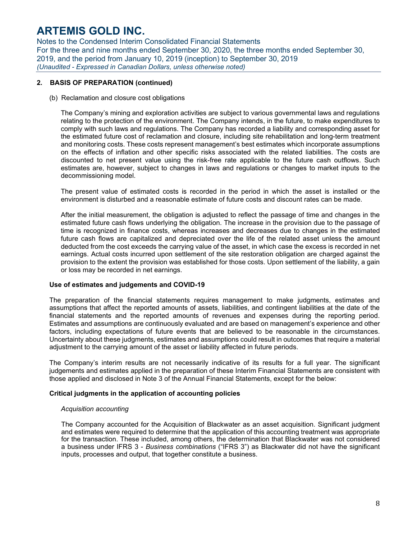Notes to the Condensed Interim Consolidated Financial Statements For the three and nine months ended September 30, 2020, the three months ended September 30, 2019, and the period from January 10, 2019 (inception) to September 30, 2019 *(Unaudited - Expressed in Canadian Dollars, unless otherwise noted)*

### **2. BASIS OF PREPARATION (continued)**

(b) Reclamation and closure cost obligations

The Company's mining and exploration activities are subject to various governmental laws and regulations relating to the protection of the environment. The Company intends, in the future, to make expenditures to comply with such laws and regulations. The Company has recorded a liability and corresponding asset for the estimated future cost of reclamation and closure, including site rehabilitation and long-term treatment and monitoring costs. These costs represent management's best estimates which incorporate assumptions on the effects of inflation and other specific risks associated with the related liabilities. The costs are discounted to net present value using the risk-free rate applicable to the future cash outflows. Such estimates are, however, subject to changes in laws and regulations or changes to market inputs to the decommissioning model.

The present value of estimated costs is recorded in the period in which the asset is installed or the environment is disturbed and a reasonable estimate of future costs and discount rates can be made.

After the initial measurement, the obligation is adjusted to reflect the passage of time and changes in the estimated future cash flows underlying the obligation. The increase in the provision due to the passage of time is recognized in finance costs, whereas increases and decreases due to changes in the estimated future cash flows are capitalized and depreciated over the life of the related asset unless the amount deducted from the cost exceeds the carrying value of the asset, in which case the excess is recorded in net earnings. Actual costs incurred upon settlement of the site restoration obligation are charged against the provision to the extent the provision was established for those costs. Upon settlement of the liability, a gain or loss may be recorded in net earnings.

#### **Use of estimates and judgements and COVID-19**

The preparation of the financial statements requires management to make judgments, estimates and assumptions that affect the reported amounts of assets, liabilities, and contingent liabilities at the date of the financial statements and the reported amounts of revenues and expenses during the reporting period. Estimates and assumptions are continuously evaluated and are based on management's experience and other factors, including expectations of future events that are believed to be reasonable in the circumstances. Uncertainty about these judgments, estimates and assumptions could result in outcomes that require a material adjustment to the carrying amount of the asset or liability affected in future periods.

The Company's interim results are not necessarily indicative of its results for a full year. The significant judgements and estimates applied in the preparation of these Interim Financial Statements are consistent with those applied and disclosed in Note 3 of the Annual Financial Statements, except for the below:

### **Critical judgments in the application of accounting policies**

#### *Acquisition accounting*

The Company accounted for the Acquisition of Blackwater as an asset acquisition. Significant judgment and estimates were required to determine that the application of this accounting treatment was appropriate for the transaction. These included, among others, the determination that Blackwater was not considered a business under IFRS 3 - *Business combinations* ("IFRS 3") as Blackwater did not have the significant inputs, processes and output, that together constitute a business.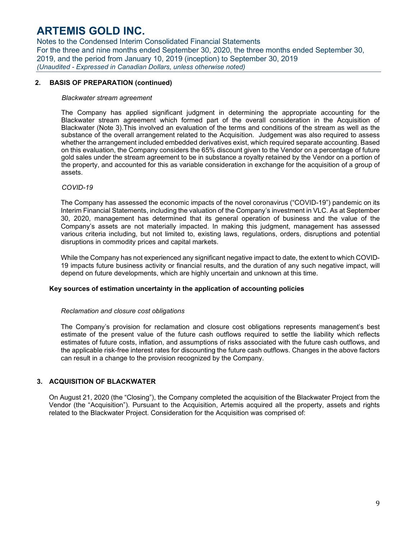Notes to the Condensed Interim Consolidated Financial Statements For the three and nine months ended September 30, 2020, the three months ended September 30, 2019, and the period from January 10, 2019 (inception) to September 30, 2019 *(Unaudited - Expressed in Canadian Dollars, unless otherwise noted)*

### **2. BASIS OF PREPARATION (continued)**

#### *Blackwater stream agreement*

The Company has applied significant judgment in determining the appropriate accounting for the Blackwater stream agreement which formed part of the overall consideration in the Acquisition of Blackwater (Note 3).This involved an evaluation of the terms and conditions of the stream as well as the substance of the overall arrangement related to the Acquisition. Judgement was also required to assess whether the arrangement included embedded derivatives exist, which required separate accounting. Based on this evaluation, the Company considers the 65% discount given to the Vendor on a percentage of future gold sales under the stream agreement to be in substance a royalty retained by the Vendor on a portion of the property, and accounted for this as variable consideration in exchange for the acquisition of a group of assets.

#### *COVID-19*

The Company has assessed the economic impacts of the novel coronavirus ("COVID-19") pandemic on its Interim Financial Statements, including the valuation of the Company's investment in VLC. As at September 30, 2020, management has determined that its general operation of business and the value of the Company's assets are not materially impacted. In making this judgment, management has assessed various criteria including, but not limited to, existing laws, regulations, orders, disruptions and potential disruptions in commodity prices and capital markets.

While the Company has not experienced any significant negative impact to date, the extent to which COVID-19 impacts future business activity or financial results, and the duration of any such negative impact, will depend on future developments, which are highly uncertain and unknown at this time.

#### **Key sources of estimation uncertainty in the application of accounting policies**

#### *Reclamation and closure cost obligations*

The Company's provision for reclamation and closure cost obligations represents management's best estimate of the present value of the future cash outflows required to settle the liability which reflects estimates of future costs, inflation, and assumptions of risks associated with the future cash outflows, and the applicable risk-free interest rates for discounting the future cash outflows. Changes in the above factors can result in a change to the provision recognized by the Company.

#### **3. ACQUISITION OF BLACKWATER**

On August 21, 2020 (the "Closing"), the Company completed the acquisition of the Blackwater Project from the Vendor (the "Acquisition"). Pursuant to the Acquisition, Artemis acquired all the property, assets and rights related to the Blackwater Project. Consideration for the Acquisition was comprised of: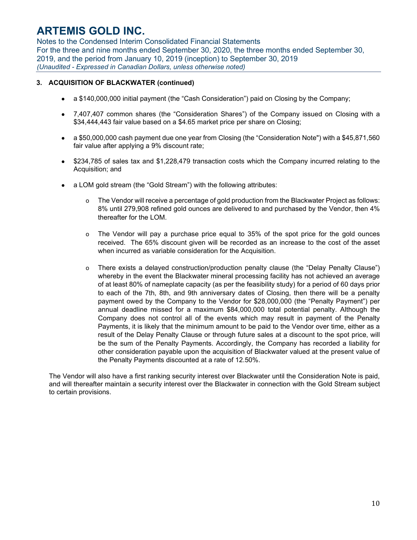Notes to the Condensed Interim Consolidated Financial Statements For the three and nine months ended September 30, 2020, the three months ended September 30, 2019, and the period from January 10, 2019 (inception) to September 30, 2019 *(Unaudited - Expressed in Canadian Dollars, unless otherwise noted)*

### **3. ACQUISITION OF BLACKWATER (continued)**

- a \$140,000,000 initial payment (the "Cash Consideration") paid on Closing by the Company;
- 7,407,407 common shares (the "Consideration Shares") of the Company issued on Closing with a \$34,444,443 fair value based on a \$4.65 market price per share on Closing;
- a \$50,000,000 cash payment due one year from Closing (the "Consideration Note") with a \$45,871,560 fair value after applying a 9% discount rate;
- \$234,785 of sales tax and \$1,228,479 transaction costs which the Company incurred relating to the Acquisition; and
- a LOM gold stream (the "Gold Stream") with the following attributes:
	- o The Vendor will receive a percentage of gold production from the Blackwater Project as follows: 8% until 279,908 refined gold ounces are delivered to and purchased by the Vendor, then 4% thereafter for the LOM.
	- o The Vendor will pay a purchase price equal to 35% of the spot price for the gold ounces received. The 65% discount given will be recorded as an increase to the cost of the asset when incurred as variable consideration for the Acquisition.
	- o There exists a delayed construction/production penalty clause (the "Delay Penalty Clause") whereby in the event the Blackwater mineral processing facility has not achieved an average of at least 80% of nameplate capacity (as per the feasibility study) for a period of 60 days prior to each of the 7th, 8th, and 9th anniversary dates of Closing, then there will be a penalty payment owed by the Company to the Vendor for \$28,000,000 (the "Penalty Payment") per annual deadline missed for a maximum \$84,000,000 total potential penalty. Although the Company does not control all of the events which may result in payment of the Penalty Payments, it is likely that the minimum amount to be paid to the Vendor over time, either as a result of the Delay Penalty Clause or through future sales at a discount to the spot price, will be the sum of the Penalty Payments. Accordingly, the Company has recorded a liability for other consideration payable upon the acquisition of Blackwater valued at the present value of the Penalty Payments discounted at a rate of 12.50%.

The Vendor will also have a first ranking security interest over Blackwater until the Consideration Note is paid, and will thereafter maintain a security interest over the Blackwater in connection with the Gold Stream subject to certain provisions.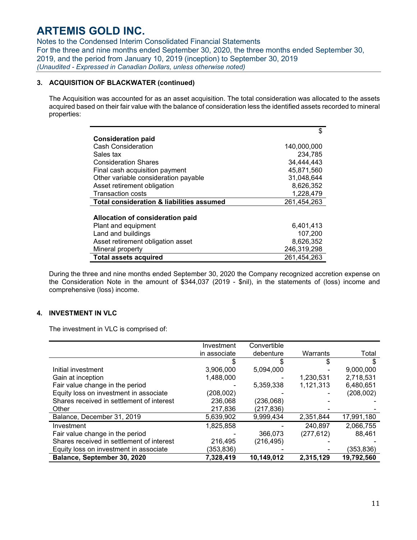Notes to the Condensed Interim Consolidated Financial Statements For the three and nine months ended September 30, 2020, the three months ended September 30, 2019, and the period from January 10, 2019 (inception) to September 30, 2019 *(Unaudited - Expressed in Canadian Dollars, unless otherwise noted)*

## **3. ACQUISITION OF BLACKWATER (continued)**

The Acquisition was accounted for as an asset acquisition. The total consideration was allocated to the assets acquired based on their fair value with the balance of consideration less the identified assets recorded to mineral properties:

|                                                      | \$          |
|------------------------------------------------------|-------------|
| <b>Consideration paid</b>                            |             |
| <b>Cash Consideration</b>                            | 140,000,000 |
| Sales tax                                            | 234.785     |
| <b>Consideration Shares</b>                          | 34,444,443  |
| Final cash acquisition payment                       | 45,871,560  |
| Other variable consideration payable                 | 31,048,644  |
| Asset retirement obligation                          | 8,626,352   |
| <b>Transaction costs</b>                             | 1,228,479   |
| <b>Total consideration &amp; liabilities assumed</b> | 261,454,263 |
|                                                      |             |
| Allocation of consideration paid                     |             |
| Plant and equipment                                  | 6,401,413   |
| Land and buildings                                   | 107.200     |
| Asset retirement obligation asset                    | 8,626,352   |
| Mineral property                                     | 246,319,298 |
| <b>Total assets acquired</b>                         | 261,454,263 |

During the three and nine months ended September 30, 2020 the Company recognized accretion expense on the Consideration Note in the amount of \$344,037 (2019 - \$nil), in the statements of (loss) income and comprehensive (loss) income.

### **4. INVESTMENT IN VLC**

The investment in VLC is comprised of:

|                                           | Investment   | Convertible |            |            |
|-------------------------------------------|--------------|-------------|------------|------------|
|                                           | in associate | debenture   | Warrants   | Total      |
|                                           |              | S           | S          |            |
| Initial investment                        | 3,906,000    | 5,094,000   |            | 9,000,000  |
| Gain at inception                         | 1,488,000    |             | 1,230,531  | 2,718,531  |
| Fair value change in the period           |              | 5,359,338   | 1,121,313  | 6,480,651  |
| Equity loss on investment in associate    | (208,002)    |             |            | (208, 002) |
| Shares received in settlement of interest | 236.068      | (236,068)   |            |            |
| Other                                     | 217,836      | (217, 836)  |            |            |
| Balance, December 31, 2019                | 5,639,902    | 9,999,434   | 2,351,844  | 17,991,180 |
| Investment                                | 1,825,858    |             | 240,897    | 2,066,755  |
| Fair value change in the period           |              | 366,073     | (277, 612) | 88,461     |
| Shares received in settlement of interest | 216,495      | (216,495)   |            |            |
| Equity loss on investment in associate    | (353,836)    |             |            | (353,836)  |
| Balance, September 30, 2020               | 7,328,419    | 10,149,012  | 2,315,129  | 19,792,560 |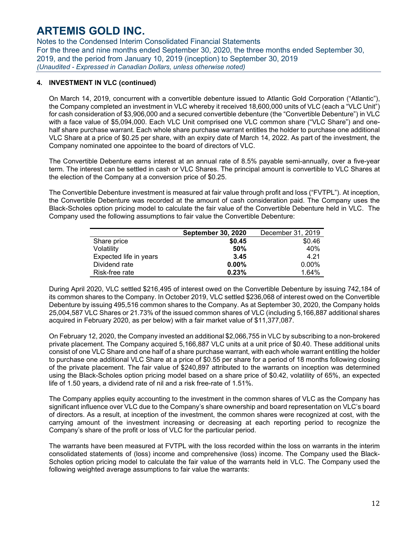Notes to the Condensed Interim Consolidated Financial Statements For the three and nine months ended September 30, 2020, the three months ended September 30, 2019, and the period from January 10, 2019 (inception) to September 30, 2019 *(Unaudited - Expressed in Canadian Dollars, unless otherwise noted)*

### **4. INVESTMENT IN VLC (continued)**

On March 14, 2019, concurrent with a convertible debenture issued to Atlantic Gold Corporation ("Atlantic"), the Company completed an investment in VLC whereby it received 18,600,000 units of VLC (each a "VLC Unit") for cash consideration of \$3,906,000 and a secured convertible debenture (the "Convertible Debenture") in VLC with a face value of \$5,094,000. Each VLC Unit comprised one VLC common share ("VLC Share") and onehalf share purchase warrant. Each whole share purchase warrant entitles the holder to purchase one additional VLC Share at a price of \$0.25 per share, with an expiry date of March 14, 2022. As part of the investment, the Company nominated one appointee to the board of directors of VLC.

The Convertible Debenture earns interest at an annual rate of 8.5% payable semi-annually, over a five-year term. The interest can be settled in cash or VLC Shares. The principal amount is convertible to VLC Shares at the election of the Company at a conversion price of \$0.25.

The Convertible Debenture investment is measured at fair value through profit and loss ("FVTPL"). At inception, the Convertible Debenture was recorded at the amount of cash consideration paid. The Company uses the Black-Scholes option pricing model to calculate the fair value of the Convertible Debenture held in VLC. The Company used the following assumptions to fair value the Convertible Debenture:

|                        | <b>September 30, 2020</b> | December 31, 2019 |
|------------------------|---------------------------|-------------------|
| Share price            | \$0.45                    | \$0.46            |
| Volatility             | 50%                       | 40%               |
| Expected life in years | 3.45                      | 4.21              |
| Dividend rate          | 0.00%                     | $0.00\%$          |
| Risk-free rate         | 0.23%                     | 1.64%             |

During April 2020, VLC settled \$216,495 of interest owed on the Convertible Debenture by issuing 742,184 of its common shares to the Company. In October 2019, VLC settled \$236,068 of interest owed on the Convertible Debenture by issuing 495,516 common shares to the Company. As at September 30, 2020, the Company holds 25,004,587 VLC Shares or 21.73% of the issued common shares of VLC (including 5,166,887 additional shares acquired in February 2020, as per below) with a fair market value of \$11,377,087.

On February 12, 2020, the Company invested an additional \$2,066,755 in VLC by subscribing to a non-brokered private placement. The Company acquired 5,166,887 VLC units at a unit price of \$0.40. These additional units consist of one VLC Share and one half of a share purchase warrant, with each whole warrant entitling the holder to purchase one additional VLC Share at a price of \$0.55 per share for a period of 18 months following closing of the private placement. The fair value of \$240,897 attributed to the warrants on inception was determined using the Black-Scholes option pricing model based on a share price of \$0.42, volatility of 65%, an expected life of 1.50 years, a dividend rate of nil and a risk free-rate of 1.51%.

The Company applies equity accounting to the investment in the common shares of VLC as the Company has significant influence over VLC due to the Company's share ownership and board representation on VLC's board of directors. As a result, at inception of the investment, the common shares were recognized at cost, with the carrying amount of the investment increasing or decreasing at each reporting period to recognize the Company's share of the profit or loss of VLC for the particular period.

The warrants have been measured at FVTPL with the loss recorded within the loss on warrants in the interim consolidated statements of (loss) income and comprehensive (loss) income. The Company used the Black-Scholes option pricing model to calculate the fair value of the warrants held in VLC. The Company used the following weighted average assumptions to fair value the warrants: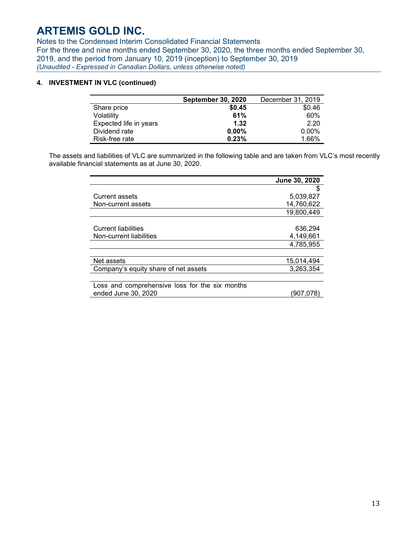Notes to the Condensed Interim Consolidated Financial Statements For the three and nine months ended September 30, 2020, the three months ended September 30, 2019, and the period from January 10, 2019 (inception) to September 30, 2019 *(Unaudited - Expressed in Canadian Dollars, unless otherwise noted)*

## **4. INVESTMENT IN VLC (continued)**

|                        | <b>September 30, 2020</b> | December 31, 2019 |
|------------------------|---------------------------|-------------------|
| Share price            | \$0.45                    | \$0.46            |
| Volatility             | 61%                       | 60%               |
| Expected life in years | 1.32                      | 2.20              |
| Dividend rate          | $0.00\%$                  | $0.00\%$          |
| Risk-free rate         | 0.23%                     | 1.66%             |

The assets and liabilities of VLC are summarized in the following table and are taken from VLC's most recently available financial statements as at June 30, 2020.

|                                                | June 30, 2020 |
|------------------------------------------------|---------------|
|                                                | S             |
| <b>Current assets</b>                          | 5,039,827     |
| Non-current assets                             | 14,760,622    |
|                                                | 19,800,449    |
|                                                |               |
| <b>Current liabilities</b>                     | 636,294       |
| Non-current liabilities                        | 4,149,661     |
|                                                | 4,785,955     |
|                                                |               |
| Net assets                                     | 15,014,494    |
| Company's equity share of net assets           | 3,263,354     |
|                                                |               |
| Loss and comprehensive loss for the six months |               |
| ended June 30, 2020                            | (907.078)     |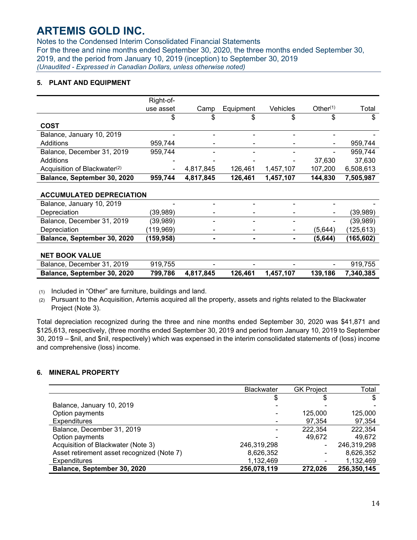Notes to the Condensed Interim Consolidated Financial Statements For the three and nine months ended September 30, 2020, the three months ended September 30, 2019, and the period from January 10, 2019 (inception) to September 30, 2019 *(Unaudited - Expressed in Canadian Dollars, unless otherwise noted)*

## **5. PLANT AND EQUIPMENT**

|                                          | Right-of-  |           |           |           |             |            |
|------------------------------------------|------------|-----------|-----------|-----------|-------------|------------|
|                                          | use asset  | Camp      | Equipment | Vehicles  | Other $(1)$ | Total      |
|                                          | \$         | \$        | \$        | \$        | \$          | \$         |
| <b>COST</b>                              |            |           |           |           |             |            |
| Balance, January 10, 2019                |            |           |           |           |             |            |
| Additions                                | 959,744    |           |           |           |             | 959,744    |
| Balance, December 31, 2019               | 959,744    |           |           |           |             | 959,744    |
| Additions                                |            |           |           |           | 37,630      | 37,630     |
| Acquisition of Blackwater <sup>(2)</sup> |            | 4,817,845 | 126,461   | 1,457,107 | 107,200     | 6,508,613  |
| Balance, September 30, 2020              | 959,744    | 4,817,845 | 126,461   | 1,457,107 | 144,830     | 7,505,987  |
| <b>ACCUMULATED DEPRECIATION</b>          |            |           |           |           |             |            |
| Balance, January 10, 2019                |            |           |           |           |             |            |
| Depreciation                             | (39,989)   |           |           |           |             | (39,989)   |
| Balance, December 31, 2019               | (39,989)   |           |           |           |             | (39,989)   |
| Depreciation                             | (119,969)  | -         |           |           | (5,644)     | (125, 613) |
| Balance, September 30, 2020              | (159, 958) |           |           |           | (5,644)     | (165,602)  |
| <b>NET BOOK VALUE</b>                    |            |           |           |           |             |            |
| Balance, December 31, 2019               | 919,755    |           |           |           |             | 919,755    |
| Balance, September 30, 2020              | 799,786    | 4,817,845 | 126,461   | 1,457,107 | 139,186     | 7,340,385  |

(1) Included in "Other" are furniture, buildings and land.

(2) Pursuant to the Acquisition, Artemis acquired all the property, assets and rights related to the Blackwater Project (Note 3).

Total depreciation recognized during the three and nine months ended September 30, 2020 was \$41,871 and \$125,613, respectively, (three months ended September 30, 2019 and period from January 10, 2019 to September 30, 2019 – \$nil, and \$nil, respectively) which was expensed in the interim consolidated statements of (loss) income and comprehensive (loss) income.

## **6. MINERAL PROPERTY**

|                                            | <b>Blackwater</b>        | <b>GK Project</b> | Total       |
|--------------------------------------------|--------------------------|-------------------|-------------|
|                                            |                          |                   |             |
| Balance, January 10, 2019                  |                          |                   |             |
| Option payments                            |                          | 125,000           | 125,000     |
| <b>Expenditures</b>                        |                          | 97,354            | 97,354      |
| Balance, December 31, 2019                 | $\overline{\phantom{0}}$ | 222,354           | 222,354     |
| Option payments                            |                          | 49,672            | 49,672      |
| Acquisition of Blackwater (Note 3)         | 246,319,298              |                   | 246,319,298 |
| Asset retirement asset recognized (Note 7) | 8,626,352                |                   | 8,626,352   |
| <b>Expenditures</b>                        | 1,132,469                |                   | 1,132,469   |
| Balance, September 30, 2020                | 256,078,119              | 272,026           | 256,350,145 |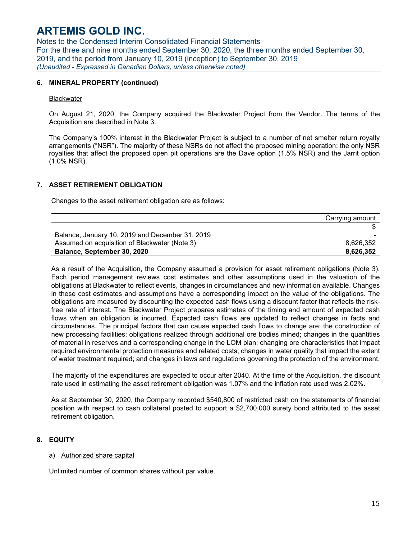Notes to the Condensed Interim Consolidated Financial Statements For the three and nine months ended September 30, 2020, the three months ended September 30, 2019, and the period from January 10, 2019 (inception) to September 30, 2019 *(Unaudited - Expressed in Canadian Dollars, unless otherwise noted)*

#### **6. MINERAL PROPERTY (continued)**

#### **Blackwater**

On August 21, 2020, the Company acquired the Blackwater Project from the Vendor. The terms of the Acquisition are described in Note 3.

The Company's 100% interest in the Blackwater Project is subject to a number of net smelter return royalty arrangements ("NSR"). The majority of these NSRs do not affect the proposed mining operation; the only NSR royalties that affect the proposed open pit operations are the Dave option (1.5% NSR) and the Jarrit option (1.0% NSR).

### **7. ASSET RETIREMENT OBLIGATION**

Changes to the asset retirement obligation are as follows:

|                                                 | Carrying amount |
|-------------------------------------------------|-----------------|
|                                                 |                 |
| Balance, January 10, 2019 and December 31, 2019 |                 |
| Assumed on acquisition of Blackwater (Note 3)   | 8,626,352       |
| Balance, September 30, 2020                     | 8.626.352       |

As a result of the Acquisition, the Company assumed a provision for asset retirement obligations (Note 3). Each period management reviews cost estimates and other assumptions used in the valuation of the obligations at Blackwater to reflect events, changes in circumstances and new information available. Changes in these cost estimates and assumptions have a corresponding impact on the value of the obligations. The obligations are measured by discounting the expected cash flows using a discount factor that reflects the riskfree rate of interest. The Blackwater Project prepares estimates of the timing and amount of expected cash flows when an obligation is incurred. Expected cash flows are updated to reflect changes in facts and circumstances. The principal factors that can cause expected cash flows to change are: the construction of new processing facilities; obligations realized through additional ore bodies mined; changes in the quantities of material in reserves and a corresponding change in the LOM plan; changing ore characteristics that impact required environmental protection measures and related costs; changes in water quality that impact the extent of water treatment required; and changes in laws and regulations governing the protection of the environment.

The majority of the expenditures are expected to occur after 2040. At the time of the Acquisition, the discount rate used in estimating the asset retirement obligation was 1.07% and the inflation rate used was 2.02%.

As at September 30, 2020, the Company recorded \$540,800 of restricted cash on the statements of financial position with respect to cash collateral posted to support a \$2,700,000 surety bond attributed to the asset retirement obligation.

### **8. EQUITY**

#### a) Authorized share capital

Unlimited number of common shares without par value.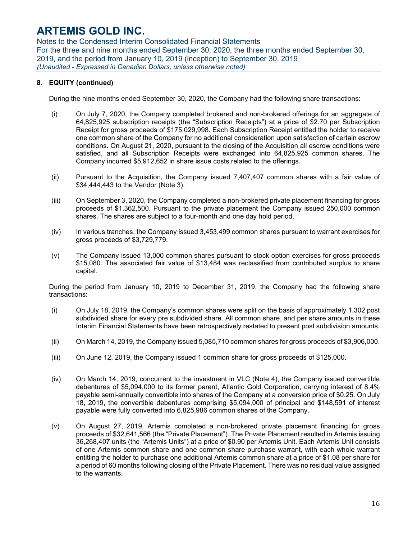Notes to the Condensed Interim Consolidated Financial Statements For the three and nine months ended September 30, 2020, the three months ended September 30, 2019, and the period from January 10, 2019 (inception) to September 30, 2019 *(Unaudited - Expressed in Canadian Dollars, unless otherwise noted)*

## **8. EQUITY (continued)**

During the nine months ended September 30, 2020, the Company had the following share transactions:

- (i) On July 7, 2020, the Company completed brokered and non-brokered offerings for an aggregate of 64,825,925 subscription receipts (the "Subscription Receipts") at a price of \$2.70 per Subscription Receipt for gross proceeds of \$175,029,998. Each Subscription Receipt entitled the holder to receive one common share of the Company for no additional consideration upon satisfaction of certain escrow conditions. On August 21, 2020, pursuant to the closing of the Acquisition all escrow conditions were satisfied, and all Subscription Receipts were exchanged into 64,825,925 common shares. The Company incurred \$5,912,652 in share issue costs related to the offerings.
- (ii) Pursuant to the Acquisition, the Company issued 7,407,407 common shares with a fair value of \$34,444,443 to the Vendor (Note 3).
- (iii) On September 3, 2020, the Company completed a non-brokered private placement financing for gross proceeds of \$1,362,500. Pursuant to the private placement the Company issued 250,000 common shares. The shares are subject to a four-month and one day hold period.
- (iv) In various tranches, the Company issued 3,453,499 common shares pursuant to warrant exercises for gross proceeds of \$3,729,779.
- (v) The Company issued 13,000 common shares pursuant to stock option exercises for gross proceeds \$15,080. The associated fair value of \$13,484 was reclassified from contributed surplus to share capital.

During the period from January 10, 2019 to December 31, 2019, the Company had the following share transactions:

- (i) On July 18, 2019, the Company's common shares were split on the basis of approximately 1.302 post subdivided share for every pre subdivided share. All common share, and per share amounts in these Interim Financial Statements have been retrospectively restated to present post subdivision amounts.
- (ii) On March 14, 2019, the Company issued 5,085,710 common shares for gross proceeds of \$3,906,000.
- (iii) On June 12, 2019, the Company issued 1 common share for gross proceeds of \$125,000.
- (iv) On March 14, 2019, concurrent to the investment in VLC (Note 4), the Company issued convertible debentures of \$5,094,000 to its former parent, Atlantic Gold Corporation, carrying interest of 8.4% payable semi-annually convertible into shares of the Company at a conversion price of \$0.25. On July 18, 2019, the convertible debentures comprising \$5,094,000 of principal and \$148,591 of interest payable were fully converted into 6,825,986 common shares of the Company.
- (v) On August 27, 2019, Artemis completed a non-brokered private placement financing for gross proceeds of \$32,641,566 (the "Private Placement"). The Private Placement resulted in Artemis issuing 36,268,407 units (the "Artemis Units") at a price of \$0.90 per Artemis Unit. Each Artemis Unit consists of one Artemis common share and one common share purchase warrant, with each whole warrant entitling the holder to purchase one additional Artemis common share at a price of \$1.08 per share for a period of 60 months following closing of the Private Placement. There was no residual value assigned to the warrants.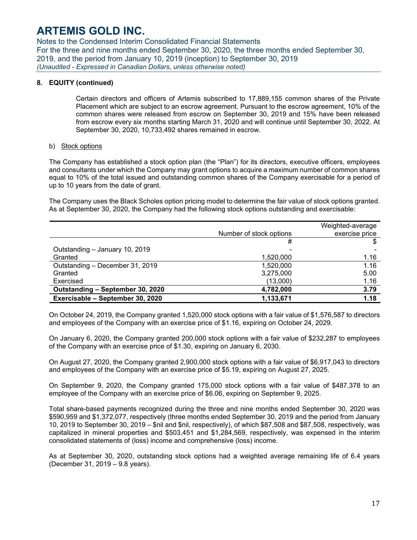Notes to the Condensed Interim Consolidated Financial Statements For the three and nine months ended September 30, 2020, the three months ended September 30, 2019, and the period from January 10, 2019 (inception) to September 30, 2019 *(Unaudited - Expressed in Canadian Dollars, unless otherwise noted)*

### **8. EQUITY (continued)**

Certain directors and officers of Artemis subscribed to 17,889,155 common shares of the Private Placement which are subject to an escrow agreement. Pursuant to the escrow agreement, 10% of the common shares were released from escrow on September 30, 2019 and 15% have been released from escrow every six months starting March 31, 2020 and will continue until September 30, 2022. At September 30, 2020, 10,733,492 shares remained in escrow.

### b) Stock options

The Company has established a stock option plan (the "Plan") for its directors, executive officers, employees and consultants under which the Company may grant options to acquire a maximum number of common shares equal to 10% of the total issued and outstanding common shares of the Company exercisable for a period of up to 10 years from the date of grant.

The Company uses the Black Scholes option pricing model to determine the fair value of stock options granted. As at September 30, 2020, the Company had the following stock options outstanding and exercisable:

|                                  |                         | Weighted-average |
|----------------------------------|-------------------------|------------------|
|                                  | Number of stock options | exercise price   |
|                                  | #                       |                  |
| Outstanding - January 10, 2019   |                         |                  |
| Granted                          | 1,520,000               | 1.16             |
| Outstanding - December 31, 2019  | 1,520,000               | 1.16             |
| Granted                          | 3,275,000               | 5.00             |
| Exercised                        | (13,000)                | 1.16             |
| Outstanding - September 30, 2020 | 4,782,000               | 3.79             |
| Exercisable - September 30, 2020 | 1,133,671               | 1.18             |

On October 24, 2019, the Company granted 1,520,000 stock options with a fair value of \$1,576,587 to directors and employees of the Company with an exercise price of \$1.16, expiring on October 24, 2029.

On January 6, 2020, the Company granted 200,000 stock options with a fair value of \$232,287 to employees of the Company with an exercise price of \$1.30, expiring on January 6, 2030.

On August 27, 2020, the Company granted 2,900,000 stock options with a fair value of \$6,917,043 to directors and employees of the Company with an exercise price of \$5.19, expiring on August 27, 2025.

On September 9, 2020, the Company granted 175,000 stock options with a fair value of \$487,378 to an employee of the Company with an exercise price of \$6.06, expiring on September 9, 2025.

Total share-based payments recognized during the three and nine months ended September 30, 2020 was \$590,959 and \$1,372,077, respectively (three months ended September 30, 2019 and the period from January 10, 2019 to September 30, 2019 – \$nil and \$nil, respectively), of which \$87,508 and \$87,508, respectively, was capitalized in mineral properties and \$503,451 and \$1,284,569, respectively, was expensed in the interim consolidated statements of (loss) income and comprehensive (loss) income.

As at September 30, 2020, outstanding stock options had a weighted average remaining life of 6.4 years (December 31, 2019 – 9.8 years).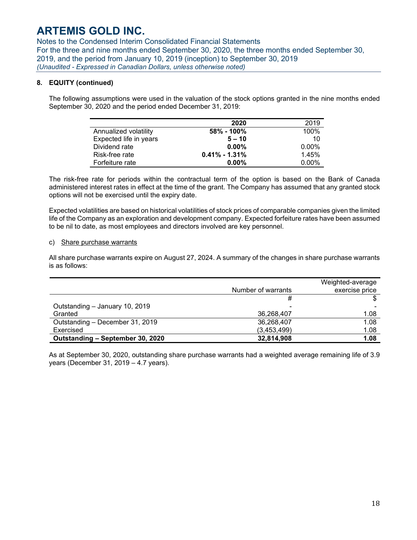Notes to the Condensed Interim Consolidated Financial Statements For the three and nine months ended September 30, 2020, the three months ended September 30, 2019, and the period from January 10, 2019 (inception) to September 30, 2019 *(Unaudited - Expressed in Canadian Dollars, unless otherwise noted)*

### **8. EQUITY (continued)**

The following assumptions were used in the valuation of the stock options granted in the nine months ended September 30, 2020 and the period ended December 31, 2019:

|                        | 2020              | 2019     |
|------------------------|-------------------|----------|
| Annualized volatility  | $58\% - 100\%$    | 100%     |
| Expected life in years | $5 - 10$          | 10       |
| Dividend rate          | $0.00\%$          | $0.00\%$ |
| Risk-free rate         | $0.41\% - 1.31\%$ | 1.45%    |
| Forfeiture rate        | $0.00\%$          | $0.00\%$ |

The risk-free rate for periods within the contractual term of the option is based on the Bank of Canada administered interest rates in effect at the time of the grant. The Company has assumed that any granted stock options will not be exercised until the expiry date.

Expected volatilities are based on historical volatilities of stock prices of comparable companies given the limited life of the Company as an exploration and development company. Expected forfeiture rates have been assumed to be nil to date, as most employees and directors involved are key personnel.

### c) Share purchase warrants

All share purchase warrants expire on August 27, 2024. A summary of the changes in share purchase warrants is as follows:

|                                  |                    | Weighted-average |
|----------------------------------|--------------------|------------------|
|                                  | Number of warrants | exercise price   |
|                                  | #                  |                  |
| Outstanding - January 10, 2019   | ٠                  |                  |
| Granted                          | 36,268,407         | 1.08             |
| Outstanding - December 31, 2019  | 36,268,407         | 1.08             |
| Exercised                        | (3,453,499)        | 1.08             |
| Outstanding - September 30, 2020 | 32,814,908         | 1.08             |

As at September 30, 2020, outstanding share purchase warrants had a weighted average remaining life of 3.9 years (December 31, 2019 – 4.7 years).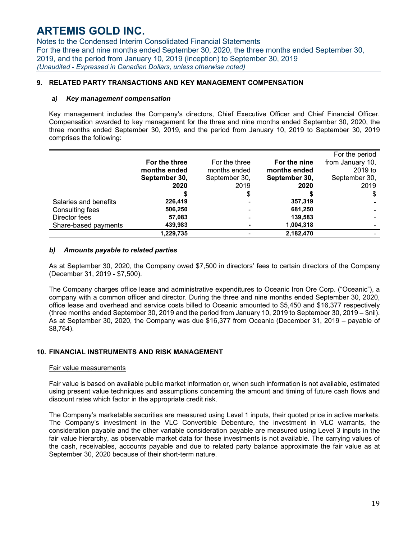Notes to the Condensed Interim Consolidated Financial Statements For the three and nine months ended September 30, 2020, the three months ended September 30, 2019, and the period from January 10, 2019 (inception) to September 30, 2019 *(Unaudited - Expressed in Canadian Dollars, unless otherwise noted)*

### **9. RELATED PARTY TRANSACTIONS AND KEY MANAGEMENT COMPENSATION**

#### *a) Key management compensation*

Key management includes the Company's directors, Chief Executive Officer and Chief Financial Officer. Compensation awarded to key management for the three and nine months ended September 30, 2020, the three months ended September 30, 2019, and the period from January 10, 2019 to September 30, 2019 comprises the following:

|                       |               |               |               | For the period   |
|-----------------------|---------------|---------------|---------------|------------------|
|                       | For the three | For the three | For the nine  | from January 10, |
|                       | months ended  | months ended  | months ended  | $2019$ to        |
|                       | September 30, | September 30, | September 30, | September 30,    |
|                       | 2020          | 2019          | 2020          | 2019             |
|                       |               | S             |               | \$               |
| Salaries and benefits | 226,419       |               | 357,319       |                  |
| Consulting fees       | 506,250       | -             | 681,250       |                  |
| Director fees         | 57,083        |               | 139,583       |                  |
| Share-based payments  | 439,983       |               | 1,004,318     |                  |
|                       | 1,229,735     |               | 2,182,470     |                  |

#### *b) Amounts payable to related parties*

As at September 30, 2020, the Company owed \$7,500 in directors' fees to certain directors of the Company (December 31, 2019 - \$7,500).

The Company charges office lease and administrative expenditures to Oceanic Iron Ore Corp. ("Oceanic"), a company with a common officer and director. During the three and nine months ended September 30, 2020, office lease and overhead and service costs billed to Oceanic amounted to \$5,450 and \$16,377 respectively (three months ended September 30, 2019 and the period from January 10, 2019 to September 30, 2019 – \$nil). As at September 30, 2020, the Company was due \$16,377 from Oceanic (December 31, 2019 – payable of \$8,764).

#### **10. FINANCIAL INSTRUMENTS AND RISK MANAGEMENT**

#### Fair value measurements

Fair value is based on available public market information or, when such information is not available, estimated using present value techniques and assumptions concerning the amount and timing of future cash flows and discount rates which factor in the appropriate credit risk.

The Company's marketable securities are measured using Level 1 inputs, their quoted price in active markets. The Company's investment in the VLC Convertible Debenture, the investment in VLC warrants, the consideration payable and the other variable consideration payable are measured using Level 3 inputs in the fair value hierarchy, as observable market data for these investments is not available. The carrying values of the cash, receivables, accounts payable and due to related party balance approximate the fair value as at September 30, 2020 because of their short-term nature.